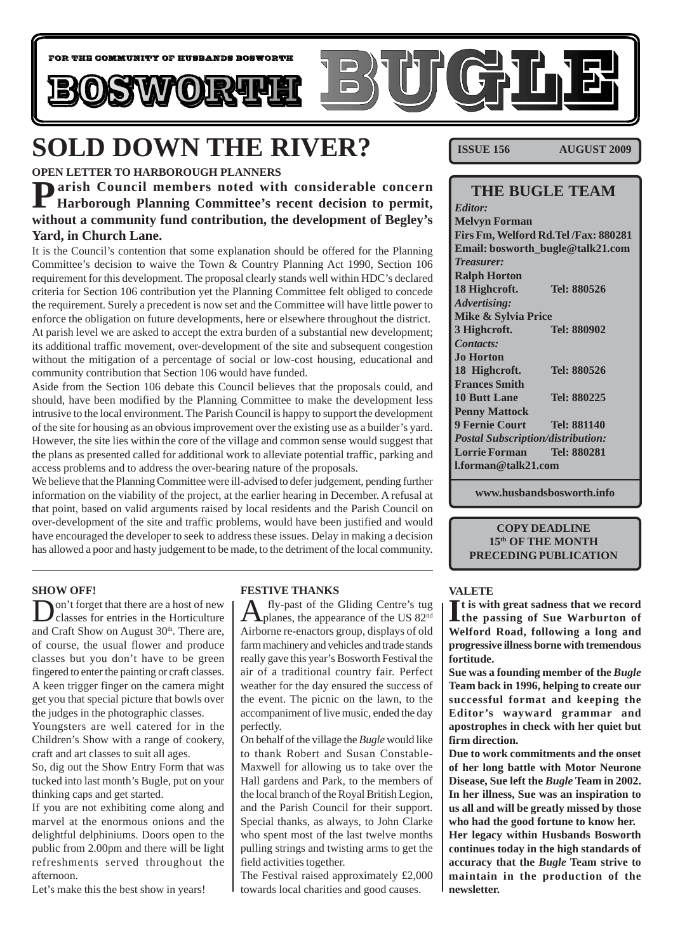

# **SOLD DOWN THE RIVER?**

#### **OPEN LETTER TO HARBOROUGH PLANNERS**

**Parish Council members noted with considerable concern Harborough Planning Committee's recent decision to permit, without a community fund contribution, the development of Begley's Yard, in Church Lane.**

It is the Council's contention that some explanation should be offered for the Planning Committee's decision to waive the Town & Country Planning Act 1990, Section 106 requirement for this development. The proposal clearly stands well within HDC's declared criteria for Section 106 contribution yet the Planning Committee felt obliged to concede the requirement. Surely a precedent is now set and the Committee will have little power to enforce the obligation on future developments, here or elsewhere throughout the district. At parish level we are asked to accept the extra burden of a substantial new development; its additional traffic movement, over-development of the site and subsequent congestion without the mitigation of a percentage of social or low-cost housing, educational and community contribution that Section 106 would have funded.

Aside from the Section 106 debate this Council believes that the proposals could, and should, have been modified by the Planning Committee to make the development less intrusive to the local environment. The Parish Council is happy to support the development of the site for housing as an obvious improvement over the existing use as a builder's yard. However, the site lies within the core of the village and common sense would suggest that the plans as presented called for additional work to alleviate potential traffic, parking and access problems and to address the over-bearing nature of the proposals.

We believe that the Planning Committee were ill-advised to defer judgement, pending further information on the viability of the project, at the earlier hearing in December. A refusal at that point, based on valid arguments raised by local residents and the Parish Council on over-development of the site and traffic problems, would have been justified and would have encouraged the developer to seek to address these issues. Delay in making a decision has allowed a poor and hasty judgement to be made, to the detriment of the local community.

#### **SHOW OFF!**

on't forget that there are a host of new classes for entries in the Horticulture and Craft Show on August  $30<sup>th</sup>$ . There are, of course, the usual flower and produce classes but you don't have to be green fingered to enter the painting or craft classes. A keen trigger finger on the camera might get you that special picture that bowls over the judges in the photographic classes.

Youngsters are well catered for in the Children's Show with a range of cookery, craft and art classes to suit all ages.

So, dig out the Show Entry Form that was tucked into last month's Bugle, put on your thinking caps and get started.

If you are not exhibiting come along and marvel at the enormous onions and the delightful delphiniums. Doors open to the public from 2.00pm and there will be light refreshments served throughout the afternoon.

Let's make this the best show in years!

#### **FESTIVE THANKS**

fly-past of the Gliding Centre's tug **P**planes, the appearance of the US 82<sup>nd</sup> Airborne re-enactors group, displays of old farm machinery and vehicles and trade stands really gave this year's Bosworth Festival the air of a traditional country fair. Perfect weather for the day ensured the success of the event. The picnic on the lawn, to the accompaniment of live music, ended the day perfectly.

On behalf of the village the *Bugle* would like to thank Robert and Susan Constable-Maxwell for allowing us to take over the Hall gardens and Park, to the members of the local branch of the Royal British Legion, and the Parish Council for their support. Special thanks, as always, to John Clarke who spent most of the last twelve months pulling strings and twisting arms to get the field activities together.

The Festival raised approximately £2,000 towards local charities and good causes.

**ISSUE 156 AUGUST 2009**

### **THE BUGLE TEAM**

*Editor:* **Melvyn Forman Firs Fm, Welford Rd.Tel /Fax: 880281 Email: bosworth\_bugle@talk21.com** *Treasurer:* **Ralph Horton 18 Highcroft. Tel: 880526** *Advertising:* **Mike & Sylvia Price 3 Highcroft. Tel: 880902** *Contacts:* **Jo Horton 18 Highcroft. Tel: 880526 Frances Smith 10 Butt Lane Tel: 880225 Penny Mattock 9 Fernie Court Tel: 881140** *Postal Subscription/distribution:* **Lorrie Forman Tel: 880281 l.forman@talk21.com**

**www.husbandsbosworth.info**

#### **COPY DEADLINE 15th OF THE MONTH PRECEDING PUBLICATION**

#### **VALETE**

If is with great sadness that we record<br>
the passing of Sue Warburton of **the passing of Sue Warburton of Welford Road, following a long and progressive illness borne with tremendous fortitude.**

**Sue was a founding member of the** *Bugle* **Team back in 1996, helping to create our successful format and keeping the Editor's wayward grammar and apostrophes in check with her quiet but firm direction.**

**Due to work commitments and the onset of her long battle with Motor Neurone Disease, Sue left the** *Bugle* **Team in 2002. In her illness, Sue was an inspiration to us all and will be greatly missed by those who had the good fortune to know her. Her legacy within Husbands Bosworth continues today in the high standards of accuracy that the** *Bugle* **Team strive to maintain in the production of the newsletter.**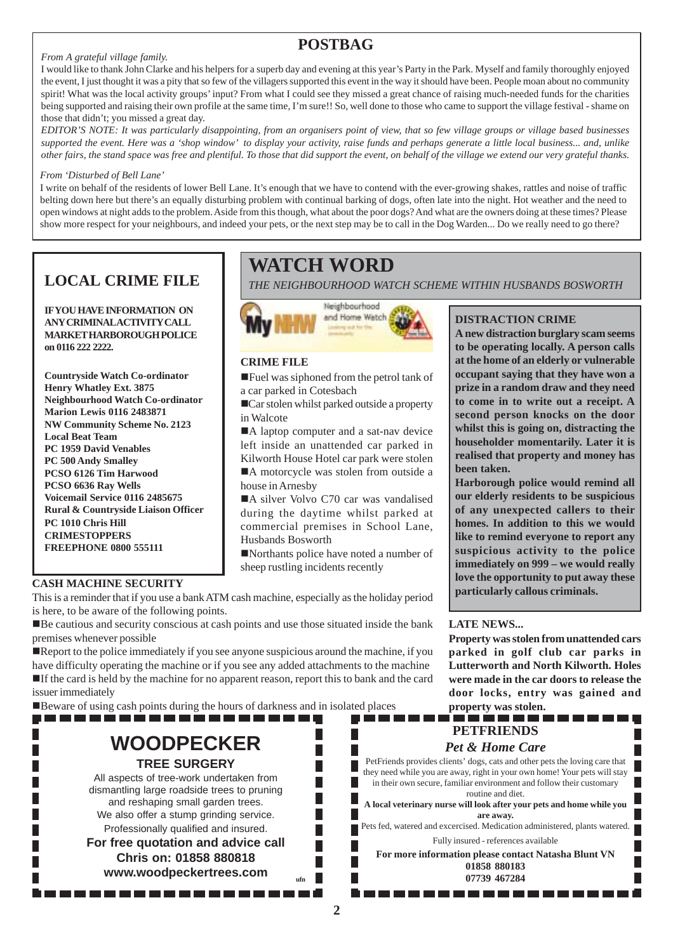### **POSTBAG**

#### *From A grateful village family.*

I would like to thank John Clarke and his helpers for a superb day and evening at this year's Party in the Park. Myself and family thoroughly enjoyed the event, I just thought it was a pity that so few of the villagers supported this event in the way it should have been. People moan about no community spirit! What was the local activity groups' input? From what I could see they missed a great chance of raising much-needed funds for the charities being supported and raising their own profile at the same time, I'm sure!! So, well done to those who came to support the village festival - shame on those that didn't; you missed a great day.

*EDITOR'S NOTE: It was particularly disappointing, from an organisers point of view, that so few village groups or village based businesses supported the event. Here was a 'shop window' to display your activity, raise funds and perhaps generate a little local business... and, unlike other fairs, the stand space was free and plentiful. To those that did support the event, on behalf of the village we extend our very grateful thanks.*

#### *From 'Disturbed of Bell Lane'*

I write on behalf of the residents of lower Bell Lane. It's enough that we have to contend with the ever-growing shakes, rattles and noise of traffic belting down here but there's an equally disturbing problem with continual barking of dogs, often late into the night. Hot weather and the need to open windows at night adds to the problem. Aside from this though, what about the poor dogs? And what are the owners doing at these times? Please show more respect for your neighbours, and indeed your pets, or the next step may be to call in the Dog Warden... Do we really need to go there?

**IF YOU HAVE INFORMATION ON ANY CRIMINAL ACTIVITY CALL MARKET HARBOROUGH POLICE on 0116 222 2222.**

**Countryside Watch Co-ordinator Henry Whatley Ext. 3875 Neighbourhood Watch Co-ordinator Marion Lewis 0116 2483871 NW Community Scheme No. 2123 Local Beat Team PC 1959 David Venables PC 500 Andy Smalley PCSO 6126 Tim Harwood PCSO 6636 Ray Wells Voicemail Service 0116 2485675 Rural & Countryside Liaison Officer PC 1010 Chris Hill CRIMESTOPPERS FREEPHONE 0800 555111**

### **WATCH WORD**

**LOCAL CRIME FILE** *THE NEIGHBOURHOOD WATCH SCHEME WITHIN HUSBANDS BOSWORTH*



#### **CRIME FILE**

!Fuel was siphoned from the petrol tank of a car parked in Cotesbach

■Car stolen whilst parked outside a property in Walcote

A laptop computer and a sat-nav device left inside an unattended car parked in Kilworth House Hotel car park were stolen ■A motorcycle was stolen from outside a house in Arnesby

A silver Volvo C70 car was vandalised during the daytime whilst parked at commercial premises in School Lane, Husbands Bosworth

!Northants police have noted a number of sheep rustling incidents recently

#### **CASH MACHINE SECURITY**

This is a reminder that if you use a bank ATM cash machine, especially as the holiday period is here, to be aware of the following points.

!Be cautious and security conscious at cash points and use those situated inside the bank premises whenever possible

Report to the police immediately if you see anyone suspicious around the machine, if you have difficulty operating the machine or if you see any added attachments to the machine !If the card is held by the machine for no apparent reason, report this to bank and the card issuer immediately

!Beware of using cash points during the hours of darkness and in isolated places

## **WOODPECKER**

....................

**TREE SURGERY**

All aspects of tree-work undertaken from dismantling large roadside trees to pruning and reshaping small garden trees. We also offer a stump grinding service. Professionally qualified and insured. **For free quotation and advice call Chris on: 01858 880818 www.woodpeckertrees.com ufn**

#### **DISTRACTION CRIME**

**A new distraction burglary scam seems to be operating locally. A person calls at the home of an elderly or vulnerable occupant saying that they have won a prize in a random draw and they need to come in to write out a receipt. A second person knocks on the door whilst this is going on, distracting the householder momentarily. Later it is realised that property and money has been taken.**

**Harborough police would remind all our elderly residents to be suspicious of any unexpected callers to their homes. In addition to this we would like to remind everyone to report any suspicious activity to the police immediately on 999 – we would really love the opportunity to put away these particularly callous criminals.**

#### **LATE NEWS...**

**Property was stolen from unattended cars parked in golf club car parks in Lutterworth and North Kilworth. Holes were made in the car doors to release the door locks, entry was gained and property was stolen.**

#### . . . . . . . . . **PETFRIENDS**

. . . . . . . . . . . . .

#### *Pet & Home Care*

PetFriends provides clients' dogs, cats and other pets the loving care that they need while you are away, right in your own home! Your pets will stay in their own secure, familiar environment and follow their customary routine and diet.

**A local veterinary nurse will look after your pets and home while you are away.**

Pets fed, watered and excercised. Medication administered, plants watered. Fully insured - references available

**For more information please contact Natasha Blunt VN 01858 880183 07739 467284**

**2**

н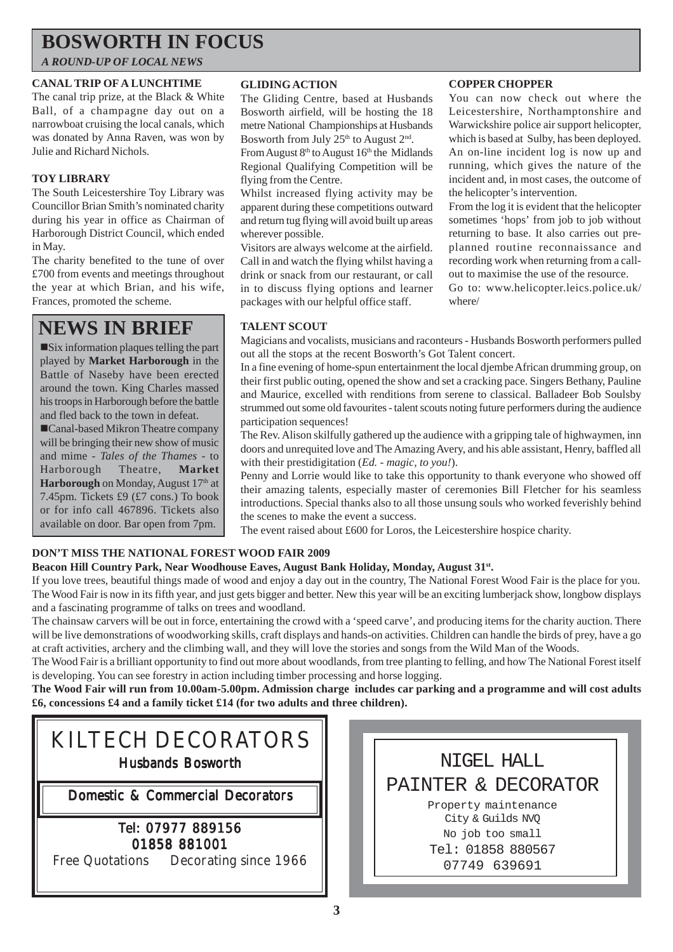### **BOSWORTH IN FOCUS**

#### *A ROUND-UP OF LOCAL NEWS*

#### **CANAL TRIP OF A LUNCHTIME**

The canal trip prize, at the Black & White Ball, of a champagne day out on a narrowboat cruising the local canals, which was donated by Anna Raven, was won by Julie and Richard Nichols.

#### **TOY LIBRARY**

The South Leicestershire Toy Library was Councillor Brian Smith's nominated charity during his year in office as Chairman of Harborough District Council, which ended in May.

The charity benefited to the tune of over £700 from events and meetings throughout the year at which Brian, and his wife, Frances, promoted the scheme.

### **NEWS IN BRIEF**

!Six information plaques telling the part played by **Market Harborough** in the Battle of Naseby have been erected around the town. King Charles massed his troops in Harborough before the battle and fled back to the town in defeat.

!Canal-based Mikron Theatre company will be bringing their new show of music and mime - *Tales of the Thames* - to Harborough Theatre, **Market Harborough** on Monday, August 17<sup>th</sup> at 7.45pm. Tickets £9 (£7 cons.) To book or for info call 467896. Tickets also available on door. Bar open from 7pm.

#### **GLIDING ACTION**

The Gliding Centre, based at Husbands Bosworth airfield, will be hosting the 18 metre National Championships at Husbands Bosworth from July  $25<sup>th</sup>$  to August  $2<sup>nd</sup>$ .

From August 8<sup>th</sup> to August 16<sup>th</sup> the Midlands Regional Qualifying Competition will be flying from the Centre.

Whilst increased flying activity may be apparent during these competitions outward and return tug flying will avoid built up areas wherever possible.

Visitors are always welcome at the airfield. Call in and watch the flying whilst having a drink or snack from our restaurant, or call in to discuss flying options and learner packages with our helpful office staff.

#### **COPPER CHOPPER**

You can now check out where the Leicestershire, Northamptonshire and Warwickshire police air support helicopter, which is based at Sulby, has been deployed. An on-line incident log is now up and running, which gives the nature of the incident and, in most cases, the outcome of the helicopter's intervention.

From the log it is evident that the helicopter sometimes 'hops' from job to job without returning to base. It also carries out preplanned routine reconnaissance and recording work when returning from a callout to maximise the use of the resource.

Go to: www.helicopter.leics.police.uk/ where/

#### **TALENT SCOUT**

Magicians and vocalists, musicians and raconteurs - Husbands Bosworth performers pulled out all the stops at the recent Bosworth's Got Talent concert.

In a fine evening of home-spun entertainment the local djembe African drumming group, on their first public outing, opened the show and set a cracking pace. Singers Bethany, Pauline and Maurice, excelled with renditions from serene to classical. Balladeer Bob Soulsby strummed out some old favourites - talent scouts noting future performers during the audience participation sequences!

The Rev. Alison skilfully gathered up the audience with a gripping tale of highwaymen, inn doors and unrequited love and The Amazing Avery, and his able assistant, Henry, baffled all with their prestidigitation (*Ed. - magic, to you!*).

Penny and Lorrie would like to take this opportunity to thank everyone who showed off their amazing talents, especially master of ceremonies Bill Fletcher for his seamless introductions. Special thanks also to all those unsung souls who worked feverishly behind the scenes to make the event a success.

The event raised about £600 for Loros, the Leicestershire hospice charity.

#### **DON'T MISS THE NATIONAL FOREST WOOD FAIR 2009**

#### Beacon Hill Country Park, Near Woodhouse Eaves, August Bank Holiday, Monday, August 31<sup>st</sup>.

If you love trees, beautiful things made of wood and enjoy a day out in the country, The National Forest Wood Fair is the place for you. The Wood Fair is now in its fifth year, and just gets bigger and better. New this year will be an exciting lumberjack show, longbow displays and a fascinating programme of talks on trees and woodland.

The chainsaw carvers will be out in force, entertaining the crowd with a 'speed carve', and producing items for the charity auction. There will be live demonstrations of woodworking skills, craft displays and hands-on activities. Children can handle the birds of prey, have a go at craft activities, archery and the climbing wall, and they will love the stories and songs from the Wild Man of the Woods.

The Wood Fair is a brilliant opportunity to find out more about woodlands, from tree planting to felling, and how The National Forest itself is developing. You can see forestry in action including timber processing and horse logging.

**The Wood Fair will run from 10.00am-5.00pm. Admission charge includes car parking and a programme and will cost adults £6, concessions £4 and a family ticket £14 (for two adults and three children).**



NIGEL HALL PAINTER & DECORATOR Property maintenance City & Guilds NVQ No job too small Tel: 01858 880567 07749 639691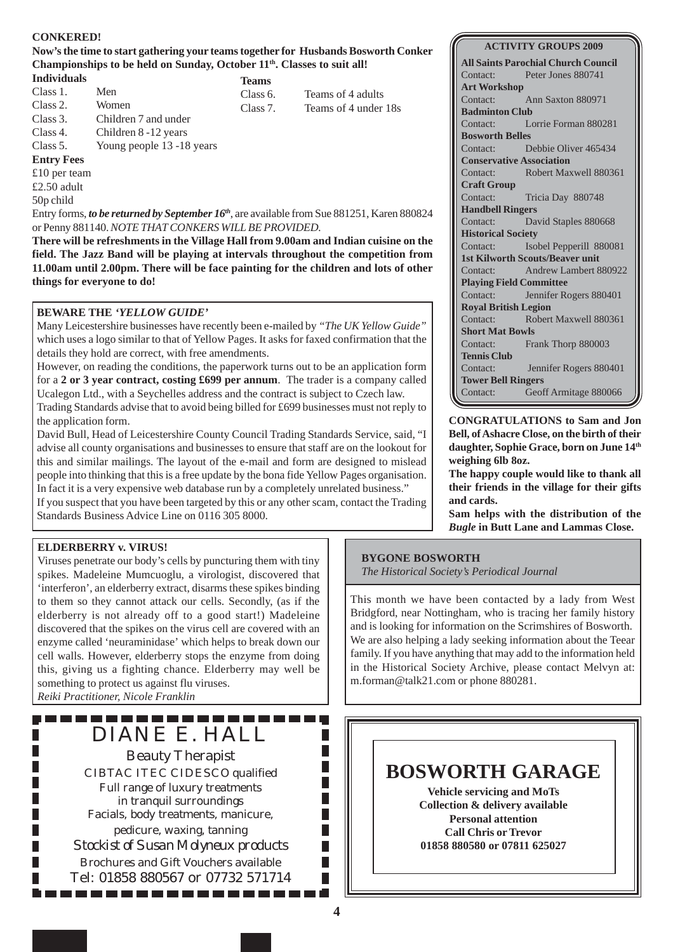#### **CONKERED!**

#### **Now's the time to start gathering your teams together for Husbands Bosworth Conker** Championships to be held on Sunday, October 11<sup>th</sup>. Classes to suit all!

#### **Individuals**

- Class 1. Men
- Class 2. Women
- Class 3. Children 7 and under
- Class 4. Children 8 -12 years

Class 5. Young people 13 -18 years

#### **Entry Fees**

£10 per team

£2.50 adult

50p child

Entry forms, *to be returned by September 16<sup>th</sup>*, are available from Sue 881251, Karen 880824 or Penny 881140. *NOTE THAT CONKERS WILL BE PROVIDED.*

**There will be refreshments in the Village Hall from 9.00am and Indian cuisine on the field. The Jazz Band will be playing at intervals throughout the competition from 11.00am until 2.00pm. There will be face painting for the children and lots of other things for everyone to do!**

#### **BEWARE THE** *'YELLOW GUIDE'*

Many Leicestershire businesses have recently been e-mailed by *"The UK Yellow Guide"* which uses a logo similar to that of Yellow Pages. It asks for faxed confirmation that the details they hold are correct, with free amendments.

However, on reading the conditions, the paperwork turns out to be an application form for a **2 or 3 year contract, costing £699 per annum**. The trader is a company called Ucalegon Ltd., with a Seychelles address and the contract is subject to Czech law.

Trading Standards advise that to avoid being billed for £699 businesses must not reply to the application form.

David Bull, Head of Leicestershire County Council Trading Standards Service, said, "I advise all county organisations and businesses to ensure that staff are on the lookout for this and similar mailings. The layout of the e-mail and form are designed to mislead people into thinking that this is a free update by the bona fide Yellow Pages organisation. In fact it is a very expensive web database run by a completely unrelated business."

If you suspect that you have been targeted by this or any other scam, contact the Trading Standards Business Advice Line on 0116 305 8000.

#### **ELDERBERRY v. VIRUS!**

Viruses penetrate our body's cells by puncturing them with tiny spikes. Madeleine Mumcuoglu, a virologist, discovered that 'interferon', an elderberry extract, disarms these spikes binding to them so they cannot attack our cells. Secondly, (as if the elderberry is not already off to a good start!) Madeleine discovered that the spikes on the virus cell are covered with an enzyme called 'neuraminidase' which helps to break down our cell walls. However, elderberry stops the enzyme from doing this, giving us a fighting chance. Elderberry may well be something to protect us against flu viruses.

*Reiki Practitioner, Nicole Franklin*

П П

---------DIANE E. HALL

Beauty Therapist CIBTAC ITEC CIDESCO qualified Full range of luxury treatments in tranquil surroundings Facials, body treatments, manicure, pedicure, waxing, tanning *Stockist of Susan Molyneux products* Brochures and Gift Vouchers available Tel: 01858 880567 or 07732 571714

-----------

#### **BYGONE BOSWORTH**

*The Historical Society's Periodical Journal*

This month we have been contacted by a lady from West Bridgford, near Nottingham, who is tracing her family history and is looking for information on the Scrimshires of Bosworth. We are also helping a lady seeking information about the Teear family. If you have anything that may add to the information held in the Historical Society Archive, please contact Melvyn at: m.forman@talk21.com or phone 880281.



# **All Saints Parochial Church Council** Contact: Lorrie Forman 880281 Contact: Debbie Oliver 465434 Contact: Robert Maxwell 880361 Contact: David Staples 880668 Contact: Isobel Pepperill 880081 Contact: Andrew Lambert 880922 Contact: Jennifer Rogers 880401

Contact: Robert Maxwell 880361 **Short Mat Bowls** Contact: Frank Thorp 880003 **Tennis Club** Contact: Jennifer Rogers 880401 **Tower Bell Ringers** Contact: Geoff Armitage 880066

**CONGRATULATIONS to Sam and Jon Bell, of Ashacre Close, on the birth of their daughter, Sophie Grace, born on June 14th weighing 6lb 8oz.**

**The happy couple would like to thank all their friends in the village for their gifts and cards.**

**Sam helps with the distribution of the** *Bugle* **in Butt Lane and Lammas Close.**

П

П П П Г П Г П Г П

#### **ACTIVITY GROUPS 2009**

Contact: Peter Jones 880741 **Art Workshop** Contact: Ann Saxton 880971 **Badminton Club Bosworth Belles Conservative Association Craft Group** Contact: Tricia Day 880748 **Handbell Ringers Historical Society 1st Kilworth Scouts/Beaver unit Playing Field Committee Royal British Legion**

**Teams** Class 6. Teams of 4 adults

Class 7. Teams of 4 under 18s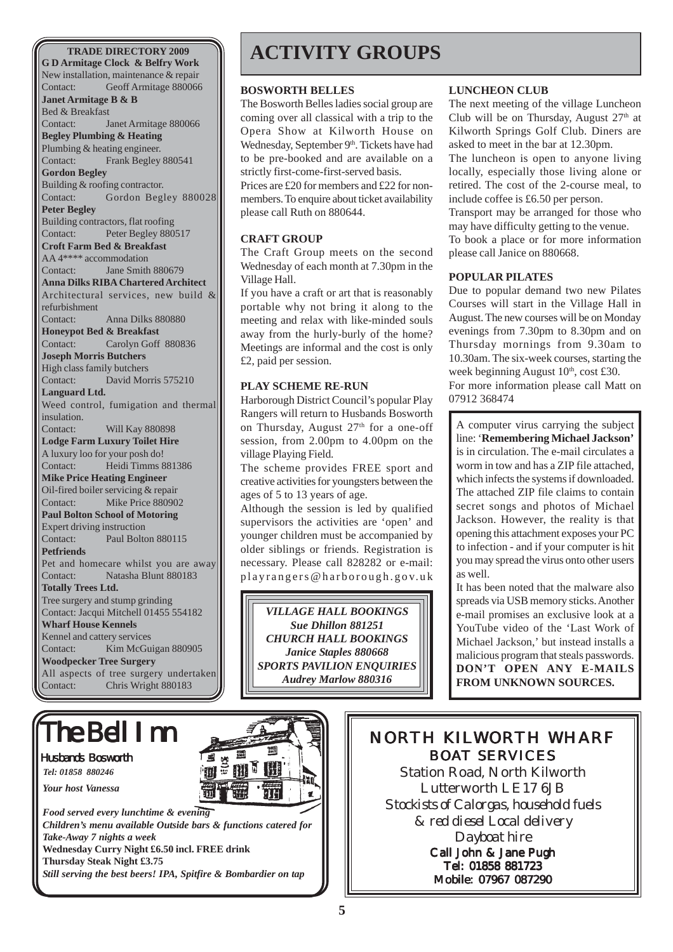New installation, maintenance & repair Contact: Geoff Armitage 880066 **Janet Armitage B & B** Bed & Breakfast Contact: Janet Armitage 880066 **Begley Plumbing & Heating** Plumbing & heating engineer. Contact: Frank Begley 880541 **Gordon Begley** Building & roofing contractor. Contact: Gordon Begley 880028 **Peter Begley** Building contractors, flat roofing Contact: Peter Begley 880517 **Croft Farm Bed & Breakfast** AA 4\*\*\*\* accommodation Contact: Jane Smith 880679 **Anna Dilks RIBA Chartered Architect** Architectural services, new build & refurbishment Contact: Anna Dilks 880880 **Honeypot Bed & Breakfast** Contact: Carolyn Goff 880836 **Joseph Morris Butchers** High class family butchers Contact: David Morris 575210 **Languard Ltd.** Weed control, fumigation and thermal insulation. Contact: Will Kay 880898 **Lodge Farm Luxury Toilet Hire** A luxury loo for your posh do! Contact: Heidi Timms 881386 **Mike Price Heating Engineer** Oil-fired boiler servicing & repair Contact: Mike Price 880902 **Paul Bolton School of Motoring** Expert driving instruction Contact: Paul Bolton 880115 **Petfriends** Pet and homecare whilst you are away Contact: Natasha Blunt 880183 **Totally Trees Ltd.** Tree surgery and stump grinding Contact: Jacqui Mitchell 01455 554182 **Wharf House Kennels** Kennel and cattery services Contact: Kim McGuigan 880905 **Woodpecker Tree Surgery** All aspects of tree surgery undertaken Contact: Chris Wright 880183

# The Bell Inn

#### Husbands Bosworth

*Tel: 01858 880246*

*Your host Vanessa*

*Food served every lunchtime & evening Children's menu available Outside bars & functions catered for Take-Away 7 nights a week* **Wednesday Curry Night £6.50 incl. FREE drink Thursday Steak Night £3.75** *Still serving the best beers! IPA, Spitfire & Bombardier on tap*

# **TRADE DIRECTORY 2009 ACTIVITY GROUPS**

#### **BOSWORTH BELLES**

The Bosworth Belles ladies social group are coming over all classical with a trip to the Opera Show at Kilworth House on Wednesday, September 9<sup>th</sup>. Tickets have had to be pre-booked and are available on a strictly first-come-first-served basis.

Prices are £20 for members and £22 for nonmembers. To enquire about ticket availability please call Ruth on 880644.

#### **CRAFT GROUP**

The Craft Group meets on the second Wednesday of each month at 7.30pm in the Village Hall.

If you have a craft or art that is reasonably portable why not bring it along to the meeting and relax with like-minded souls away from the hurly-burly of the home? Meetings are informal and the cost is only £2, paid per session.

#### **PLAY SCHEME RE-RUN**

Harborough District Council's popular Play Rangers will return to Husbands Bosworth on Thursday, August  $27<sup>th</sup>$  for a one-off session, from 2.00pm to 4.00pm on the village Playing Field.

The scheme provides FREE sport and creative activities for youngsters between the ages of 5 to 13 years of age.

Although the session is led by qualified supervisors the activities are 'open' and younger children must be accompanied by older siblings or friends. Registration is necessary. Please call 828282 or e-mail: playrangers@harborough.gov.uk

*VILLAGE HALL BOOKINGS Sue Dhillon 881251 CHURCH HALL BOOKINGS Janice Staples 880668 SPORTS PAVILION ENQUIRIES Audrey Marlow 880316*

#### **LUNCHEON CLUB**

The next meeting of the village Luncheon Club will be on Thursday, August  $27<sup>th</sup>$  at Kilworth Springs Golf Club. Diners are asked to meet in the bar at 12.30pm.

The luncheon is open to anyone living locally, especially those living alone or retired. The cost of the 2-course meal, to include coffee is £6.50 per person.

Transport may be arranged for those who may have difficulty getting to the venue. To book a place or for more information please call Janice on 880668.

#### **POPULAR PILATES**

Due to popular demand two new Pilates Courses will start in the Village Hall in August. The new courses will be on Monday evenings from 7.30pm to 8.30pm and on Thursday mornings from 9.30am to 10.30am. The six-week courses, starting the week beginning August  $10<sup>th</sup>$ , cost £30.

For more information please call Matt on 07912 368474

A computer virus carrying the subject line: '**Remembering Michael Jackson'** is in circulation. The e-mail circulates a worm in tow and has a ZIP file attached, which infects the systems if downloaded. The attached ZIP file claims to contain secret songs and photos of Michael Jackson. However, the reality is that opening this attachment exposes your PC to infection - and if your computer is hit you may spread the virus onto other users as well.

It has been noted that the malware also spreads via USB memory sticks. Another e-mail promises an exclusive look at a YouTube video of the 'Last Work of Michael Jackson,' but instead installs a malicious program that steals passwords. **DON'T OPEN ANY E-MAILS FROM UNKNOWN SOURCES.**



### NORTH KILWORTH WHARF BOAT SERVICES

Station Road, North Kilworth Lutterworth LE17 6JB *Stockists of Calorgas, household fuels & red diesel Local delivery Dayboat hire* Call John & Jane Pugh Tel: 01858 881723 Mobile: 07967 087290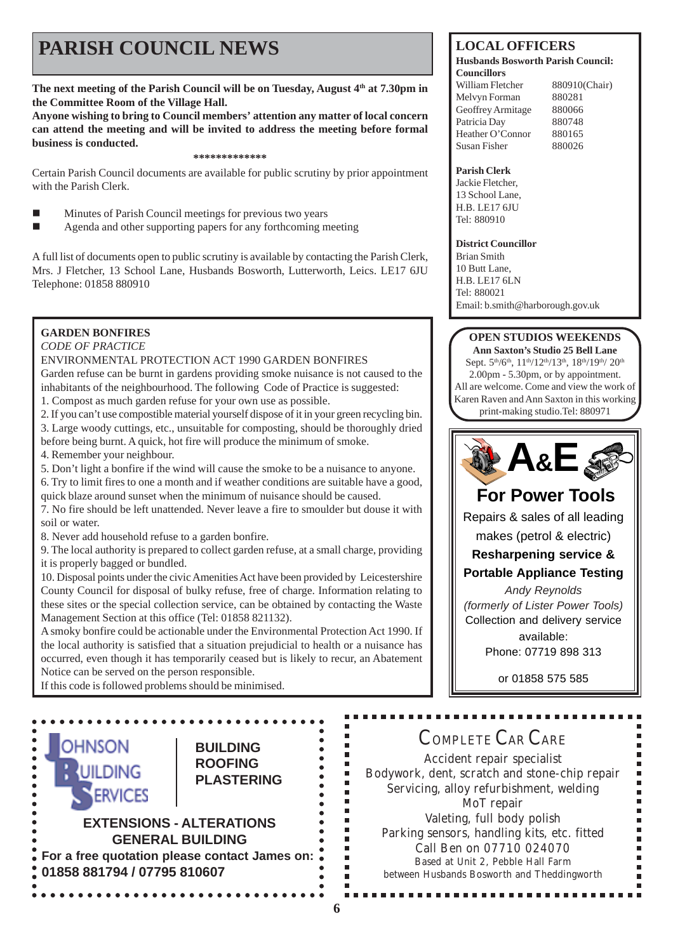# **PARISH COUNCIL NEWS** LOCAL OFFICERS

The next meeting of the Parish Council will be on Tuesday, August 4<sup>th</sup> at 7.30pm in **the Committee Room of the Village Hall.**

**Anyone wishing to bring to Council members' attention any matter of local concern can attend the meeting and will be invited to address the meeting before formal business is conducted.**

#### **\*\*\*\*\*\*\*\*\*\*\*\*\***

Certain Parish Council documents are available for public scrutiny by prior appointment with the Parish Clerk.

- ! Minutes of Parish Council meetings for previous two years
- ! Agenda and other supporting papers for any forthcoming meeting

A full list of documents open to public scrutiny is available by contacting the Parish Clerk, Mrs. J Fletcher, 13 School Lane, Husbands Bosworth, Lutterworth, Leics. LE17 6JU Telephone: 01858 880910

#### **GARDEN BONFIRES**

*CODE OF PRACTICE*

#### ENVIRONMENTAL PROTECTION ACT 1990 GARDEN BONFIRES

Garden refuse can be burnt in gardens providing smoke nuisance is not caused to the inhabitants of the neighbourhood. The following Code of Practice is suggested:

1. Compost as much garden refuse for your own use as possible.

2. If you can't use compostible material yourself dispose of it in your green recycling bin. 3. Large woody cuttings, etc., unsuitable for composting, should be thoroughly dried before being burnt. A quick, hot fire will produce the minimum of smoke.

- 4. Remember your neighbour.
- 5. Don't light a bonfire if the wind will cause the smoke to be a nuisance to anyone.

6. Try to limit fires to one a month and if weather conditions are suitable have a good,

quick blaze around sunset when the minimum of nuisance should be caused.

7. No fire should be left unattended. Never leave a fire to smoulder but douse it with soil or water.

8. Never add household refuse to a garden bonfire.

9. The local authority is prepared to collect garden refuse, at a small charge, providing it is properly bagged or bundled.

10. Disposal points under the civic Amenities Act have been provided by Leicestershire County Council for disposal of bulky refuse, free of charge. Information relating to these sites or the special collection service, can be obtained by contacting the Waste Management Section at this office (Tel: 01858 821132).

A smoky bonfire could be actionable under the Environmental Protection Act 1990. If the local authority is satisfied that a situation prejudicial to health or a nuisance has occurred, even though it has temporarily ceased but is likely to recur, an Abatement Notice can be served on the person responsible.

> **BUILDING ROOFING PLASTERING**

#### **Husbands Bosworth Parish Council: Councillors**

William Fletcher 880910(Chair) Melvyn Forman 880281 Geoffrey Armitage 880066 Patricia Day 880748 Heather O'Connor 880165 Susan Fisher 880026

#### **Parish Clerk**

Jackie Fletcher, 13 School Lane, H.B. LE17 6JU Tel: 880910

#### **District Councillor**

Brian Smith 10 Butt Lane, H.B. LE17 6LN Tel: 880021 Email: b.smith@harborough.gov.uk

### **OPEN STUDIOS WEEKENDS**

**Ann Saxton's Studio 25 Bell Lane** Sept.  $5<sup>th</sup>/6<sup>th</sup>, 11<sup>th</sup>/12<sup>th</sup>/13<sup>th</sup>, 18<sup>th</sup>/19<sup>th</sup>/20<sup>th</sup>$ 2.00pm - 5.30pm, or by appointment. All are welcome. Come and view the work of Karen Raven and Ann Saxton in this working print-making studio.Tel: 880971



### **For Power Tools**

Repairs & sales of all leading

makes (petrol & electric)

### **Resharpening service &**

**Portable Appliance Testing**

*Andy Reynolds (formerly of Lister Power Tools)* Collection and delivery service

> available: Phone: 07719 898 313

> > or 01858 575 585

If this code is followed problems should be minimised.

**EXTENSIONS - ALTERATIONS GENERAL BUILDING For a free quotation please contact James on:**

**01858 881794 / 07795 810607**

**OHNSON** 

### COMPLETE CAR CARE

Accident repair specialist Bodywork, dent, scratch and stone-chip repair Servicing, alloy refurbishment, welding MoT repair Valeting, full body polish Parking sensors, handling kits, etc. fitted Call Ben on 07710 024070 Based at Unit 2, Pebble Hall Farm between Husbands Bosworth and Theddingworth

. . . . . . . . . . . .

Ē.

Ė Ė É Ì. r ٠ в п п п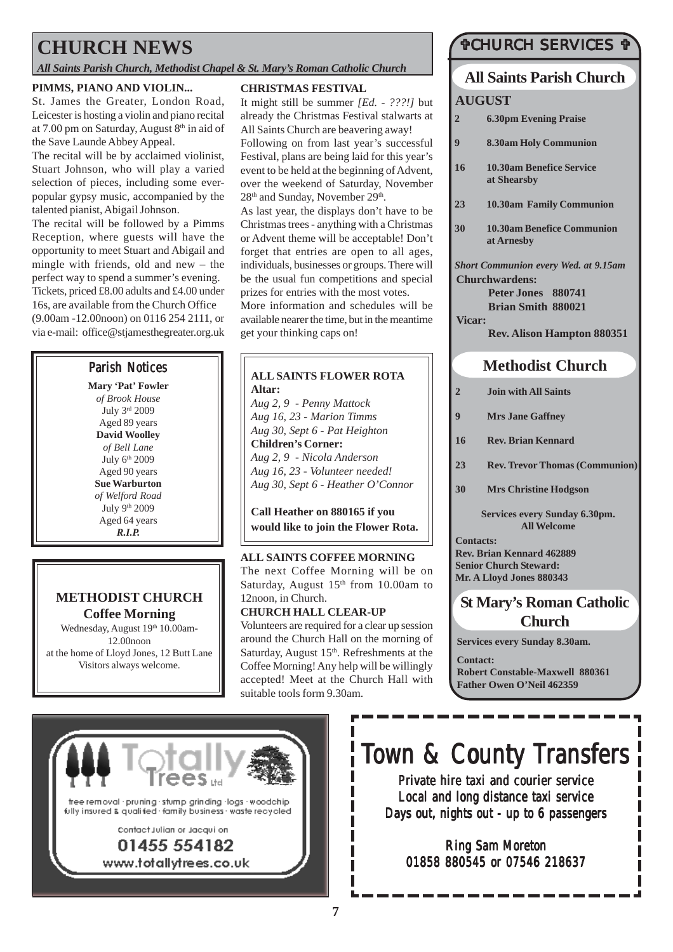## **CHURCH NEWS**

#### *All Saints Parish Church, Methodist Chapel & St. Mary's Roman Catholic Church*

#### **PIMMS, PIANO AND VIOLIN...**

St. James the Greater, London Road, Leicester is hosting a violin and piano recital at 7.00 pm on Saturday, August  $8<sup>th</sup>$  in aid of the Save Launde Abbey Appeal.

The recital will be by acclaimed violinist, Stuart Johnson, who will play a varied selection of pieces, including some everpopular gypsy music, accompanied by the talented pianist, Abigail Johnson.

The recital will be followed by a Pimms Reception, where guests will have the opportunity to meet Stuart and Abigail and mingle with friends, old and new – the perfect way to spend a summer's evening. Tickets, priced £8.00 adults and £4.00 under 16s, are available from the Church Office (9.00am -12.00noon) on 0116 254 2111, or

via e-mail: office@stjamesthegreater.org.uk

**Mary 'Pat' Fowler** *of Brook House* July 3rd 2009 Aged 89 years **David Woolley** *of Bell Lane* July 6<sup>th</sup> 2009 Aged 90 years **Sue Warburton** *of Welford Road* July 9th 2009 Aged 64 years *R.I.P.*

### **METHODIST CHURCH Coffee Morning**

Wednesday, August 19th 10.00am-12.00noon at the home of Lloyd Jones, 12 Butt Lane Visitors always welcome.

#### **CHRISTMAS FESTIVAL**

It might still be summer *[Ed. - ???!]* but already the Christmas Festival stalwarts at All Saints Church are beavering away! Following on from last year's successful Festival, plans are being laid for this year's event to be held at the beginning of Advent, over the weekend of Saturday, November 28<sup>th</sup> and Sunday, November 29<sup>th</sup>.

As last year, the displays don't have to be Christmas trees - anything with a Christmas or Advent theme will be acceptable! Don't forget that entries are open to all ages, individuals, businesses or groups. There will be the usual fun competitions and special prizes for entries with the most votes.

More information and schedules will be available nearer the time, but in the meantime get your thinking caps on!

### Parish Notices **All SAINTS FLOWER ROTA Altar:**

*Aug 2, 9 - Penny Mattock Aug 16, 23 - Marion Timms Aug 30, Sept 6 - Pat Heighton* **Children's Corner:** *Aug 2, 9 - Nicola Anderson Aug 16, 23 - Volunteer needed! Aug 30, Sept 6 - Heather O'Connor*

**Call Heather on 880165 if you would like to join the Flower Rota.**

#### **ALL SAINTS COFFEE MORNING**

The next Coffee Morning will be on Saturday, August 15<sup>th</sup> from 10.00am to 12noon, in Church.

#### **CHURCH HALL CLEAR-UP**

Volunteers are required for a clear up session around the Church Hall on the morning of Saturday, August 15<sup>th</sup>. Refreshments at the Coffee Morning! Any help will be willingly accepted! Meet at the Church Hall with suitable tools form 9.30am.

### "CHURCH SERVICES "

## **All Saints Parish Church**

#### **AUGUST**

- **2 6.30pm Evening Praise**
- **9 8.30am Holy Communion**
- **16 10.30am Benefice Service at Shearsby**
- **23 10.30am Family Communion**
- **30 10.30am Benefice Communion at Arnesby**

*Short Communion every Wed. at 9.15am* **Churchwardens:**

**Peter Jones 880741 Brian Smith 880021 Vicar:**

**Rev. Alison Hampton 880351**

### **Methodist Church**

- **2 Join with All Saints**
- **9 Mrs Jane Gaffney**
- **16 Rev. Brian Kennard**
- **23 Rev. Trevor Thomas (Communion)**
- **30 Mrs Christine Hodgson**

**Services every Sunday 6.30pm. All Welcome**

**Contacts:**

**Rev. Brian Kennard 462889 Senior Church Steward: Mr. A Lloyd Jones 880343**

### **St Mary's Roman Catholic Church**

**Services every Sunday 8.30am.**

**Contact: Robert Constable-Maxwell 880361 Father Owen O'Neil 462359**



# Town & County Transfers

Private hire taxi and courier service Local and long distance taxi service Days out, nights out - up to 6 passengers

Ring Sam Moreton 01858 880545 or 07546 218637